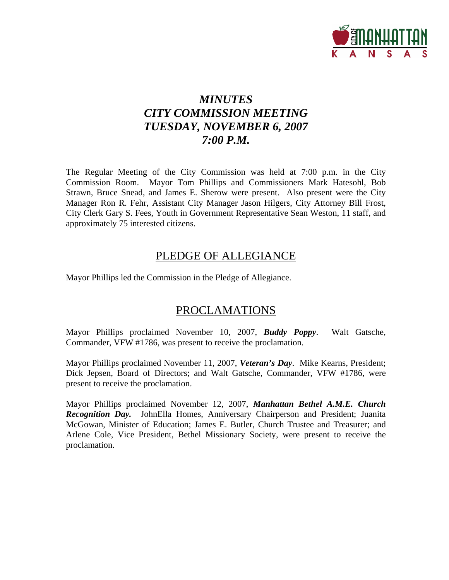

# *MINUTES CITY COMMISSION MEETING TUESDAY, NOVEMBER 6, 2007 7:00 P.M.*

The Regular Meeting of the City Commission was held at 7:00 p.m. in the City Commission Room. Mayor Tom Phillips and Commissioners Mark Hatesohl, Bob Strawn, Bruce Snead, and James E. Sherow were present. Also present were the City Manager Ron R. Fehr, Assistant City Manager Jason Hilgers, City Attorney Bill Frost, City Clerk Gary S. Fees, Youth in Government Representative Sean Weston, 11 staff, and approximately 75 interested citizens.

# PLEDGE OF ALLEGIANCE

Mayor Phillips led the Commission in the Pledge of Allegiance.

# PROCLAMATIONS

Mayor Phillips proclaimed November 10, 2007, *Buddy Poppy*. Walt Gatsche, Commander, VFW #1786, was present to receive the proclamation.

Mayor Phillips proclaimed November 11, 2007, *Veteran's Day*. Mike Kearns, President; Dick Jepsen, Board of Directors; and Walt Gatsche, Commander, VFW #1786, were present to receive the proclamation.

Mayor Phillips proclaimed November 12, 2007, *Manhattan Bethel A.M.E. Church Recognition Day.* JohnElla Homes, Anniversary Chairperson and President; Juanita McGowan, Minister of Education; James E. Butler, Church Trustee and Treasurer; and Arlene Cole, Vice President, Bethel Missionary Society, were present to receive the proclamation.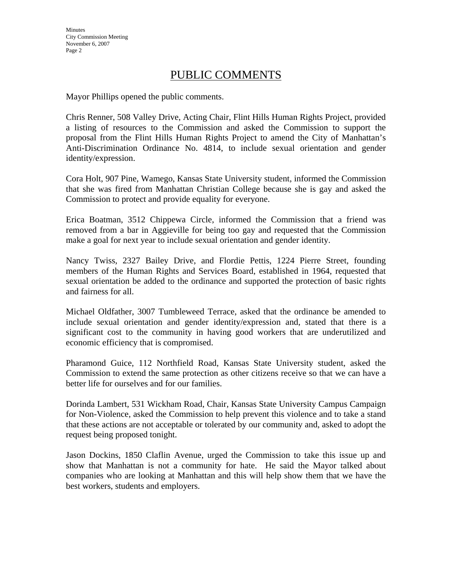# PUBLIC COMMENTS

Mayor Phillips opened the public comments.

Chris Renner, 508 Valley Drive, Acting Chair, Flint Hills Human Rights Project, provided a listing of resources to the Commission and asked the Commission to support the proposal from the Flint Hills Human Rights Project to amend the City of Manhattan's Anti-Discrimination Ordinance No. 4814, to include sexual orientation and gender identity/expression.

Cora Holt, 907 Pine, Wamego, Kansas State University student, informed the Commission that she was fired from Manhattan Christian College because she is gay and asked the Commission to protect and provide equality for everyone.

Erica Boatman, 3512 Chippewa Circle, informed the Commission that a friend was removed from a bar in Aggieville for being too gay and requested that the Commission make a goal for next year to include sexual orientation and gender identity.

Nancy Twiss, 2327 Bailey Drive, and Flordie Pettis, 1224 Pierre Street, founding members of the Human Rights and Services Board, established in 1964, requested that sexual orientation be added to the ordinance and supported the protection of basic rights and fairness for all.

Michael Oldfather, 3007 Tumbleweed Terrace, asked that the ordinance be amended to include sexual orientation and gender identity/expression and, stated that there is a significant cost to the community in having good workers that are underutilized and economic efficiency that is compromised.

Pharamond Guice, 112 Northfield Road, Kansas State University student, asked the Commission to extend the same protection as other citizens receive so that we can have a better life for ourselves and for our families.

Dorinda Lambert, 531 Wickham Road, Chair, Kansas State University Campus Campaign for Non-Violence, asked the Commission to help prevent this violence and to take a stand that these actions are not acceptable or tolerated by our community and, asked to adopt the request being proposed tonight.

Jason Dockins, 1850 Claflin Avenue, urged the Commission to take this issue up and show that Manhattan is not a community for hate. He said the Mayor talked about companies who are looking at Manhattan and this will help show them that we have the best workers, students and employers.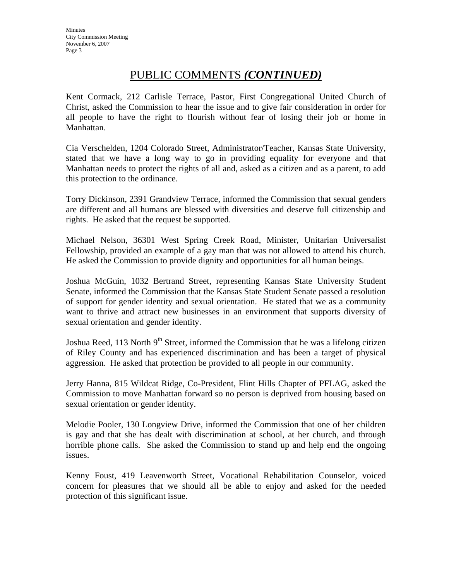# PUBLIC COMMENTS *(CONTINUED)*

Kent Cormack, 212 Carlisle Terrace, Pastor, First Congregational United Church of Christ, asked the Commission to hear the issue and to give fair consideration in order for all people to have the right to flourish without fear of losing their job or home in Manhattan.

Cia Verschelden, 1204 Colorado Street, Administrator/Teacher, Kansas State University, stated that we have a long way to go in providing equality for everyone and that Manhattan needs to protect the rights of all and, asked as a citizen and as a parent, to add this protection to the ordinance.

Torry Dickinson, 2391 Grandview Terrace, informed the Commission that sexual genders are different and all humans are blessed with diversities and deserve full citizenship and rights. He asked that the request be supported.

Michael Nelson, 36301 West Spring Creek Road, Minister, Unitarian Universalist Fellowship, provided an example of a gay man that was not allowed to attend his church. He asked the Commission to provide dignity and opportunities for all human beings.

Joshua McGuin, 1032 Bertrand Street, representing Kansas State University Student Senate, informed the Commission that the Kansas State Student Senate passed a resolution of support for gender identity and sexual orientation. He stated that we as a community want to thrive and attract new businesses in an environment that supports diversity of sexual orientation and gender identity.

Joshua Reed, 113 North 9<sup>th</sup> Street, informed the Commission that he was a lifelong citizen of Riley County and has experienced discrimination and has been a target of physical aggression. He asked that protection be provided to all people in our community.

Jerry Hanna, 815 Wildcat Ridge, Co-President, Flint Hills Chapter of PFLAG, asked the Commission to move Manhattan forward so no person is deprived from housing based on sexual orientation or gender identity.

Melodie Pooler, 130 Longview Drive, informed the Commission that one of her children is gay and that she has dealt with discrimination at school, at her church, and through horrible phone calls. She asked the Commission to stand up and help end the ongoing issues.

Kenny Foust, 419 Leavenworth Street, Vocational Rehabilitation Counselor, voiced concern for pleasures that we should all be able to enjoy and asked for the needed protection of this significant issue.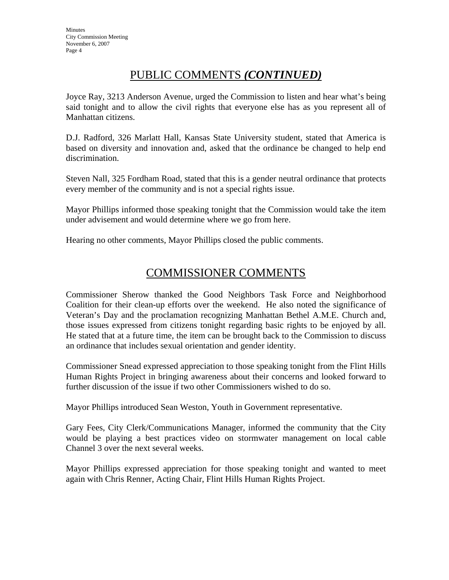# PUBLIC COMMENTS *(CONTINUED)*

Joyce Ray, 3213 Anderson Avenue, urged the Commission to listen and hear what's being said tonight and to allow the civil rights that everyone else has as you represent all of Manhattan citizens.

D.J. Radford, 326 Marlatt Hall, Kansas State University student, stated that America is based on diversity and innovation and, asked that the ordinance be changed to help end discrimination.

Steven Nall, 325 Fordham Road, stated that this is a gender neutral ordinance that protects every member of the community and is not a special rights issue.

Mayor Phillips informed those speaking tonight that the Commission would take the item under advisement and would determine where we go from here.

Hearing no other comments, Mayor Phillips closed the public comments.

# COMMISSIONER COMMENTS

Commissioner Sherow thanked the Good Neighbors Task Force and Neighborhood Coalition for their clean-up efforts over the weekend. He also noted the significance of Veteran's Day and the proclamation recognizing Manhattan Bethel A.M.E. Church and, those issues expressed from citizens tonight regarding basic rights to be enjoyed by all. He stated that at a future time, the item can be brought back to the Commission to discuss an ordinance that includes sexual orientation and gender identity.

Commissioner Snead expressed appreciation to those speaking tonight from the Flint Hills Human Rights Project in bringing awareness about their concerns and looked forward to further discussion of the issue if two other Commissioners wished to do so.

Mayor Phillips introduced Sean Weston, Youth in Government representative.

Gary Fees, City Clerk/Communications Manager, informed the community that the City would be playing a best practices video on stormwater management on local cable Channel 3 over the next several weeks.

Mayor Phillips expressed appreciation for those speaking tonight and wanted to meet again with Chris Renner, Acting Chair, Flint Hills Human Rights Project.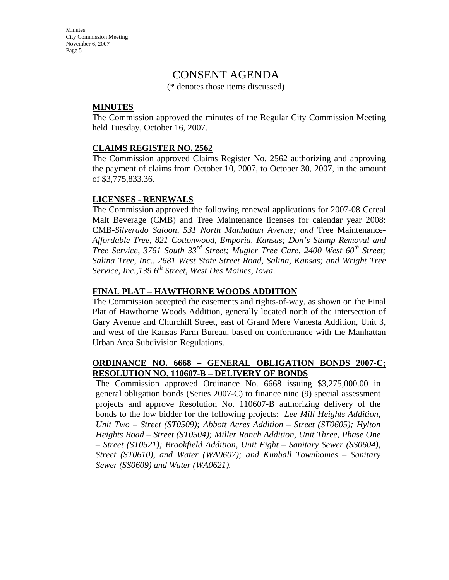# CONSENT AGENDA

(\* denotes those items discussed)

#### **MINUTES**

The Commission approved the minutes of the Regular City Commission Meeting held Tuesday, October 16, 2007.

## **CLAIMS REGISTER NO. 2562**

The Commission approved Claims Register No. 2562 authorizing and approving the payment of claims from October 10, 2007, to October 30, 2007, in the amount of \$3,775,833.36.

## **LICENSES - RENEWALS**

The Commission approved the following renewal applications for 2007-08 Cereal Malt Beverage (CMB) and Tree Maintenance licenses for calendar year 2008: CMB-*Silverado Saloon, 531 North Manhattan Avenue; and* Tree Maintenance*-Affordable Tree, 821 Cottonwood, Emporia, Kansas; Don's Stump Removal and Tree Service, 3761 South 33<sup>rd</sup> Street; Mugler Tree Care, 2400 West 60<sup>th</sup> Street; Salina Tree, Inc., 2681 West State Street Road, Salina, Kansas; and Wright Tree Service, Inc.,139 6th Street, West Des Moines, Iowa*.

## **FINAL PLAT – HAWTHORNE WOODS ADDITION**

The Commission accepted the easements and rights-of-way, as shown on the Final Plat of Hawthorne Woods Addition, generally located north of the intersection of Gary Avenue and Churchill Street, east of Grand Mere Vanesta Addition, Unit 3, and west of the Kansas Farm Bureau, based on conformance with the Manhattan Urban Area Subdivision Regulations.

## **ORDINANCE NO. 6668 – GENERAL OBLIGATION BONDS 2007-C; RESOLUTION NO. 110607-B – DELIVERY OF BONDS**

The Commission approved Ordinance No. 6668 issuing \$3,275,000.00 in general obligation bonds (Series 2007-C) to finance nine (9) special assessment projects and approve Resolution No. 110607-B authorizing delivery of the bonds to the low bidder for the following projects: *Lee Mill Heights Addition, Unit Two – Street (ST0509); Abbott Acres Addition – Street (ST0605); Hylton Heights Road – Street (ST0504); Miller Ranch Addition, Unit Three, Phase One – Street (ST0521); Brookfield Addition, Unit Eight – Sanitary Sewer (SS0604), Street (ST0610), and Water (WA0607); and Kimball Townhomes – Sanitary Sewer (SS0609) and Water (WA0621).*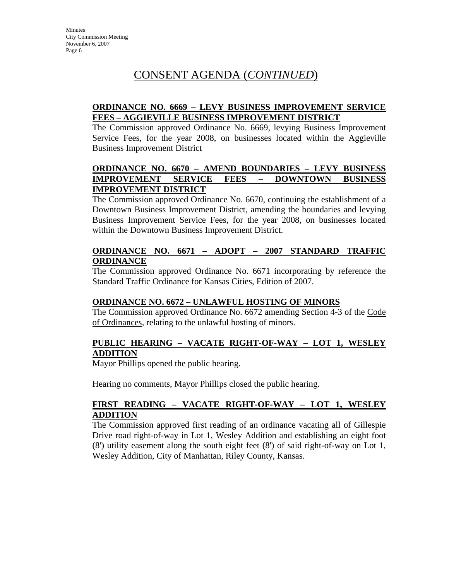# **ORDINANCE NO. 6669 – LEVY BUSINESS IMPROVEMENT SERVICE FEES – AGGIEVILLE BUSINESS IMPROVEMENT DISTRICT**

The Commission approved Ordinance No. 6669, levying Business Improvement Service Fees, for the year 2008, on businesses located within the Aggieville Business Improvement District

# **ORDINANCE NO. 6670 – AMEND BOUNDARIES – LEVY BUSINESS IMPROVEMENT SERVICE FEES – DOWNTOWN BUSINESS IMPROVEMENT DISTRICT**

The Commission approved Ordinance No. 6670, continuing the establishment of a Downtown Business Improvement District, amending the boundaries and levying Business Improvement Service Fees, for the year 2008, on businesses located within the Downtown Business Improvement District.

## **ORDINANCE NO. 6671 – ADOPT – 2007 STANDARD TRAFFIC ORDINANCE**

The Commission approved Ordinance No. 6671 incorporating by reference the Standard Traffic Ordinance for Kansas Cities, Edition of 2007.

## **ORDINANCE NO. 6672 – UNLAWFUL HOSTING OF MINORS**

The Commission approved Ordinance No. 6672 amending Section 4-3 of the Code of Ordinances, relating to the unlawful hosting of minors.

# **PUBLIC HEARING – VACATE RIGHT-OF-WAY – LOT 1, WESLEY ADDITION**

Mayor Phillips opened the public hearing.

Hearing no comments, Mayor Phillips closed the public hearing.

# **FIRST READING – VACATE RIGHT-OF-WAY – LOT 1, WESLEY ADDITION**

The Commission approved first reading of an ordinance vacating all of Gillespie Drive road right-of-way in Lot 1, Wesley Addition and establishing an eight foot (8') utility easement along the south eight feet (8') of said right-of-way on Lot 1, Wesley Addition, City of Manhattan, Riley County, Kansas.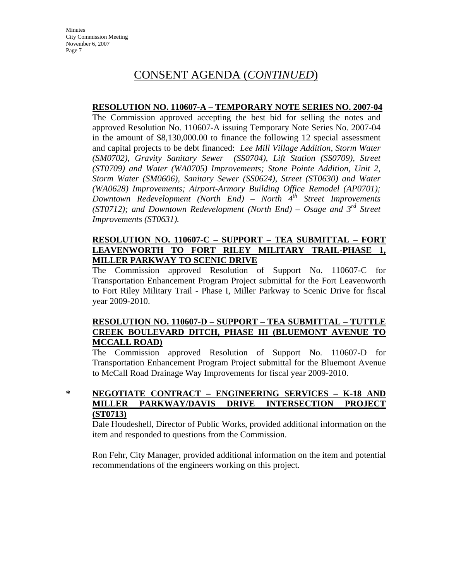## **RESOLUTION NO. 110607-A – TEMPORARY NOTE SERIES NO. 2007-04**

The Commission approved accepting the best bid for selling the notes and approved Resolution No. 110607-A issuing Temporary Note Series No. 2007-04 in the amount of \$8,130,000.00 to finance the following 12 special assessment and capital projects to be debt financed: *Lee Mill Village Addition, Storm Water (SM0702), Gravity Sanitary Sewer (SS0704), Lift Station (SS0709), Street (ST0709) and Water (WA0705) Improvements; Stone Pointe Addition, Unit 2, Storm Water (SM0606), Sanitary Sewer (SS0624), Street (ST0630) and Water (WA0628) Improvements; Airport-Armory Building Office Remodel (AP0701); Downtown Redevelopment (North End) – North 4th Street Improvements (ST0712); and Downtown Redevelopment (North End) – Osage and 3rd Street Improvements (ST0631).* 

## **RESOLUTION NO. 110607-C – SUPPORT – TEA SUBMITTAL – FORT LEAVENWORTH TO FORT RILEY MILITARY TRAIL-PHASE 1, MILLER PARKWAY TO SCENIC DRIVE**

The Commission approved Resolution of Support No. 110607-C for Transportation Enhancement Program Project submittal for the Fort Leavenworth to Fort Riley Military Trail - Phase I, Miller Parkway to Scenic Drive for fiscal year 2009-2010.

## **RESOLUTION NO. 110607-D – SUPPORT – TEA SUBMITTAL – TUTTLE CREEK BOULEVARD DITCH, PHASE III (BLUEMONT AVENUE TO MCCALL ROAD)**

The Commission approved Resolution of Support No. 110607-D for Transportation Enhancement Program Project submittal for the Bluemont Avenue to McCall Road Drainage Way Improvements for fiscal year 2009-2010.

**\* NEGOTIATE CONTRACT – ENGINEERING SERVICES – K-18 AND MILLER PARKWAY/DAVIS DRIVE INTERSECTION PROJECT (ST0713)**

Dale Houdeshell, Director of Public Works, provided additional information on the item and responded to questions from the Commission.

Ron Fehr, City Manager, provided additional information on the item and potential recommendations of the engineers working on this project.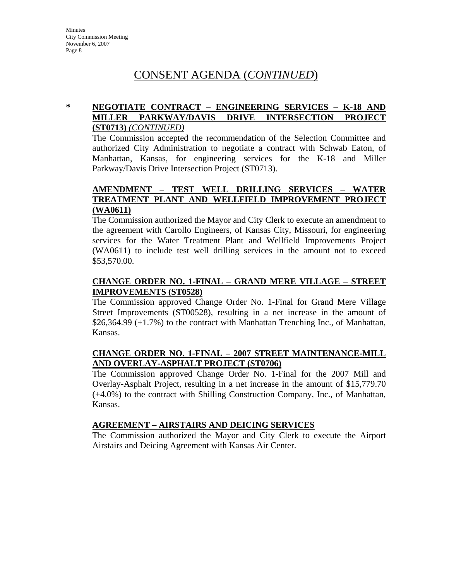# **\* NEGOTIATE CONTRACT – ENGINEERING SERVICES – K-18 AND MILLER PARKWAY/DAVIS DRIVE INTERSECTION PROJECT (ST0713)** *(CONTINUED)*

The Commission accepted the recommendation of the Selection Committee and authorized City Administration to negotiate a contract with Schwab Eaton, of Manhattan, Kansas, for engineering services for the K-18 and Miller Parkway/Davis Drive Intersection Project (ST0713).

## **AMENDMENT – TEST WELL DRILLING SERVICES – WATER TREATMENT PLANT AND WELLFIELD IMPROVEMENT PROJECT (WA0611)**

The Commission authorized the Mayor and City Clerk to execute an amendment to the agreement with Carollo Engineers, of Kansas City, Missouri, for engineering services for the Water Treatment Plant and Wellfield Improvements Project (WA0611) to include test well drilling services in the amount not to exceed \$53,570.00.

# **CHANGE ORDER NO. 1-FINAL – GRAND MERE VILLAGE – STREET IMPROVEMENTS (ST0528)**

The Commission approved Change Order No. 1-Final for Grand Mere Village Street Improvements (ST00528), resulting in a net increase in the amount of \$26,364.99 (+1.7%) to the contract with Manhattan Trenching Inc., of Manhattan, Kansas.

## **CHANGE ORDER NO. 1-FINAL – 2007 STREET MAINTENANCE-MILL AND OVERLAY-ASPHALT PROJECT (ST0706)**

The Commission approved Change Order No. 1-Final for the 2007 Mill and Overlay-Asphalt Project, resulting in a net increase in the amount of \$15,779.70 (+4.0%) to the contract with Shilling Construction Company, Inc., of Manhattan, Kansas.

## **AGREEMENT – AIRSTAIRS AND DEICING SERVICES**

The Commission authorized the Mayor and City Clerk to execute the Airport Airstairs and Deicing Agreement with Kansas Air Center.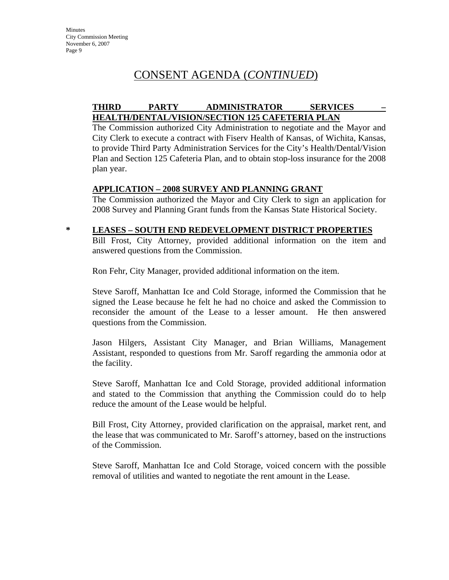# **THIRD PARTY ADMINISTRATOR SERVICES – HEALTH/DENTAL/VISION/SECTION 125 CAFETERIA PLAN**

The Commission authorized City Administration to negotiate and the Mayor and City Clerk to execute a contract with Fiserv Health of Kansas, of Wichita, Kansas, to provide Third Party Administration Services for the City's Health/Dental/Vision Plan and Section 125 Cafeteria Plan, and to obtain stop-loss insurance for the 2008 plan year.

## **APPLICATION – 2008 SURVEY AND PLANNING GRANT**

The Commission authorized the Mayor and City Clerk to sign an application for 2008 Survey and Planning Grant funds from the Kansas State Historical Society.

# **\* LEASES – SOUTH END REDEVELOPMENT DISTRICT PROPERTIES**

Bill Frost, City Attorney, provided additional information on the item and answered questions from the Commission.

Ron Fehr, City Manager, provided additional information on the item.

Steve Saroff, Manhattan Ice and Cold Storage, informed the Commission that he signed the Lease because he felt he had no choice and asked the Commission to reconsider the amount of the Lease to a lesser amount. He then answered questions from the Commission.

Jason Hilgers, Assistant City Manager, and Brian Williams, Management Assistant, responded to questions from Mr. Saroff regarding the ammonia odor at the facility.

Steve Saroff, Manhattan Ice and Cold Storage, provided additional information and stated to the Commission that anything the Commission could do to help reduce the amount of the Lease would be helpful.

Bill Frost, City Attorney, provided clarification on the appraisal, market rent, and the lease that was communicated to Mr. Saroff's attorney, based on the instructions of the Commission.

Steve Saroff, Manhattan Ice and Cold Storage, voiced concern with the possible removal of utilities and wanted to negotiate the rent amount in the Lease.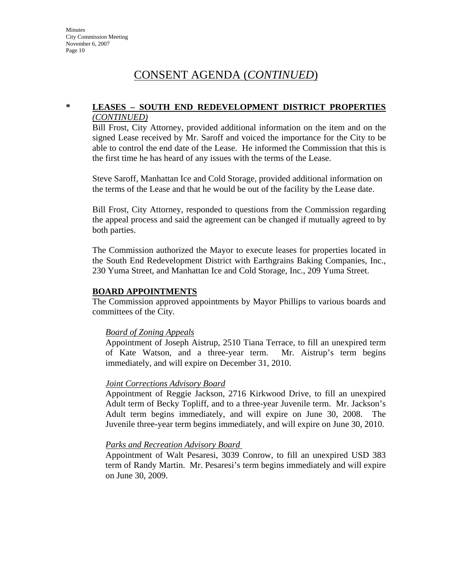# **\* LEASES – SOUTH END REDEVELOPMENT DISTRICT PROPERTIES** *(CONTINUED)*

Bill Frost, City Attorney, provided additional information on the item and on the signed Lease received by Mr. Saroff and voiced the importance for the City to be able to control the end date of the Lease. He informed the Commission that this is the first time he has heard of any issues with the terms of the Lease.

Steve Saroff, Manhattan Ice and Cold Storage, provided additional information on the terms of the Lease and that he would be out of the facility by the Lease date.

Bill Frost, City Attorney, responded to questions from the Commission regarding the appeal process and said the agreement can be changed if mutually agreed to by both parties.

The Commission authorized the Mayor to execute leases for properties located in the South End Redevelopment District with Earthgrains Baking Companies, Inc., 230 Yuma Street, and Manhattan Ice and Cold Storage, Inc., 209 Yuma Street.

#### **BOARD APPOINTMENTS**

The Commission approved appointments by Mayor Phillips to various boards and committees of the City.

## *Board of Zoning Appeals*

Appointment of Joseph Aistrup, 2510 Tiana Terrace, to fill an unexpired term of Kate Watson, and a three-year term. Mr. Aistrup's term begins immediately, and will expire on December 31, 2010.

#### *Joint Corrections Advisory Board*

Appointment of Reggie Jackson, 2716 Kirkwood Drive, to fill an unexpired Adult term of Becky Topliff, and to a three-year Juvenile term. Mr. Jackson's Adult term begins immediately, and will expire on June 30, 2008. The Juvenile three-year term begins immediately, and will expire on June 30, 2010.

#### *Parks and Recreation Advisory Board*

Appointment of Walt Pesaresi, 3039 Conrow, to fill an unexpired USD 383 term of Randy Martin. Mr. Pesaresi's term begins immediately and will expire on June 30, 2009.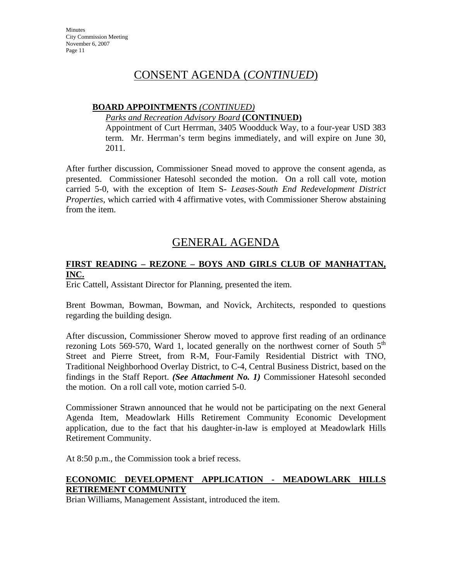# **BOARD APPOINTMENTS** *(CONTINUED)*

#### *Parks and Recreation Advisory Board* **(CONTINUED)**

Appointment of Curt Herrman, 3405 Woodduck Way, to a four-year USD 383 term. Mr. Herrman's term begins immediately, and will expire on June 30, 2011.

After further discussion, Commissioner Snead moved to approve the consent agenda, as presented. Commissioner Hatesohl seconded the motion. On a roll call vote, motion carried 5-0, with the exception of Item S- *Leases-South End Redevelopment District Properties*, which carried with 4 affirmative votes, with Commissioner Sherow abstaining from the item.

# GENERAL AGENDA

# **FIRST READING – REZONE – BOYS AND GIRLS CLUB OF MANHATTAN, INC.**

Eric Cattell, Assistant Director for Planning, presented the item.

Brent Bowman, Bowman, Bowman, and Novick, Architects, responded to questions regarding the building design.

After discussion, Commissioner Sherow moved to approve first reading of an ordinance rezoning Lots 569-570, Ward 1, located generally on the northwest corner of South  $5<sup>th</sup>$ Street and Pierre Street, from R-M, Four-Family Residential District with TNO, Traditional Neighborhood Overlay District, to C-4, Central Business District, based on the findings in the Staff Report. *(See Attachment No. 1)* Commissioner Hatesohl seconded the motion. On a roll call vote, motion carried 5-0.

Commissioner Strawn announced that he would not be participating on the next General Agenda Item, Meadowlark Hills Retirement Community Economic Development application, due to the fact that his daughter-in-law is employed at Meadowlark Hills Retirement Community.

At 8:50 p.m., the Commission took a brief recess.

# **ECONOMIC DEVELOPMENT APPLICATION - MEADOWLARK HILLS RETIREMENT COMMUNITY**

Brian Williams, Management Assistant, introduced the item.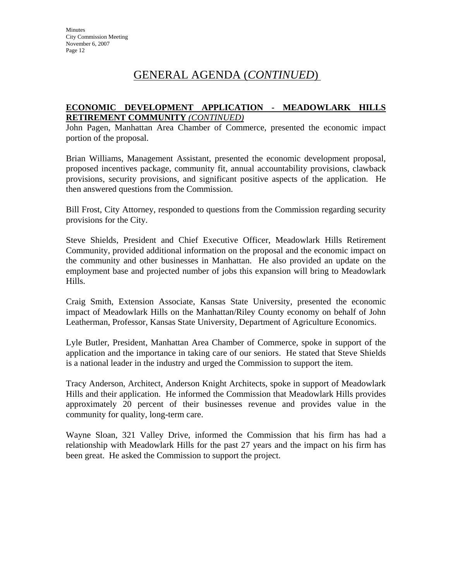# GENERAL AGENDA (*CONTINUED*)

# **ECONOMIC DEVELOPMENT APPLICATION - MEADOWLARK HILLS RETIREMENT COMMUNITY** *(CONTINUED)*

John Pagen, Manhattan Area Chamber of Commerce, presented the economic impact portion of the proposal.

Brian Williams, Management Assistant, presented the economic development proposal, proposed incentives package, community fit, annual accountability provisions, clawback provisions, security provisions, and significant positive aspects of the application. He then answered questions from the Commission.

Bill Frost, City Attorney, responded to questions from the Commission regarding security provisions for the City.

Steve Shields, President and Chief Executive Officer, Meadowlark Hills Retirement Community, provided additional information on the proposal and the economic impact on the community and other businesses in Manhattan. He also provided an update on the employment base and projected number of jobs this expansion will bring to Meadowlark Hills.

Craig Smith, Extension Associate, Kansas State University, presented the economic impact of Meadowlark Hills on the Manhattan/Riley County economy on behalf of John Leatherman, Professor, Kansas State University, Department of Agriculture Economics.

Lyle Butler, President, Manhattan Area Chamber of Commerce, spoke in support of the application and the importance in taking care of our seniors. He stated that Steve Shields is a national leader in the industry and urged the Commission to support the item.

Tracy Anderson, Architect, Anderson Knight Architects, spoke in support of Meadowlark Hills and their application. He informed the Commission that Meadowlark Hills provides approximately 20 percent of their businesses revenue and provides value in the community for quality, long-term care.

Wayne Sloan, 321 Valley Drive, informed the Commission that his firm has had a relationship with Meadowlark Hills for the past 27 years and the impact on his firm has been great. He asked the Commission to support the project.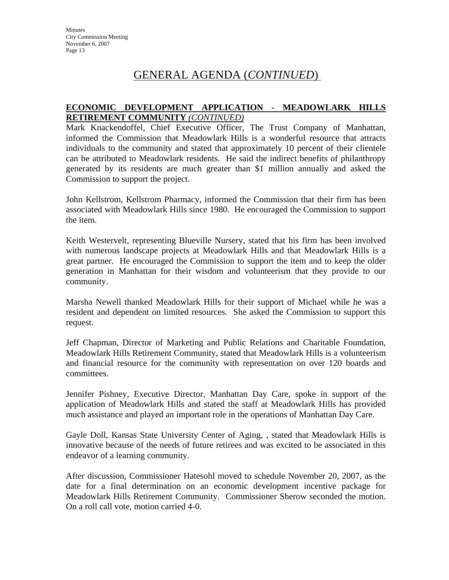# GENERAL AGENDA (*CONTINUED*)

## **ECONOMIC DEVELOPMENT APPLICATION - MEADOWLARK HILLS RETIREMENT COMMUNITY** *(CONTINUED)*

Mark Knackendoffel, Chief Executive Officer, The Trust Company of Manhattan, informed the Commission that Meadowlark Hills is a wonderful resource that attracts individuals to the community and stated that approximately 10 percent of their clientele can be attributed to Meadowlark residents. He said the indirect benefits of philanthropy generated by its residents are much greater than \$1 million annually and asked the Commission to support the project.

John Kellstrom, Kellstrom Pharmacy, informed the Commission that their firm has been associated with Meadowlark Hills since 1980. He encouraged the Commission to support the item.

Keith Westervelt, representing Blueville Nursery, stated that his firm has been involved with numerous landscape projects at Meadowlark Hills and that Meadowlark Hills is a great partner. He encouraged the Commission to support the item and to keep the older generation in Manhattan for their wisdom and volunteerism that they provide to our community.

Marsha Newell thanked Meadowlark Hills for their support of Michael while he was a resident and dependent on limited resources. She asked the Commission to support this request.

Jeff Chapman, Director of Marketing and Public Relations and Charitable Foundation, Meadowlark Hills Retirement Community, stated that Meadowlark Hills is a volunteerism and financial resource for the community with representation on over 120 boards and committees.

Jennifer Pishney, Executive Director, Manhattan Day Care, spoke in support of the application of Meadowlark Hills and stated the staff at Meadowlark Hills has provided much assistance and played an important role in the operations of Manhattan Day Care.

Gayle Doll, Kansas State University Center of Aging, , stated that Meadowlark Hills is innovative because of the needs of future retirees and was excited to be associated in this endeavor of a learning community.

After discussion, Commissioner Hatesohl moved to schedule November 20, 2007, as the date for a final determination on an economic development incentive package for Meadowlark Hills Retirement Community. Commissioner Sherow seconded the motion. On a roll call vote, motion carried 4-0.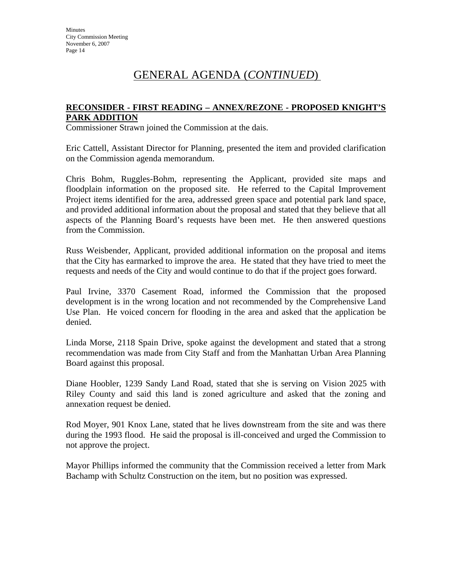# GENERAL AGENDA (*CONTINUED*)

## **RECONSIDER - FIRST READING – ANNEX/REZONE - PROPOSED KNIGHT'S PARK ADDITION**

Commissioner Strawn joined the Commission at the dais.

Eric Cattell, Assistant Director for Planning, presented the item and provided clarification on the Commission agenda memorandum.

Chris Bohm, Ruggles-Bohm, representing the Applicant, provided site maps and floodplain information on the proposed site. He referred to the Capital Improvement Project items identified for the area, addressed green space and potential park land space, and provided additional information about the proposal and stated that they believe that all aspects of the Planning Board's requests have been met. He then answered questions from the Commission.

Russ Weisbender, Applicant, provided additional information on the proposal and items that the City has earmarked to improve the area. He stated that they have tried to meet the requests and needs of the City and would continue to do that if the project goes forward.

Paul Irvine, 3370 Casement Road, informed the Commission that the proposed development is in the wrong location and not recommended by the Comprehensive Land Use Plan. He voiced concern for flooding in the area and asked that the application be denied.

Linda Morse, 2118 Spain Drive, spoke against the development and stated that a strong recommendation was made from City Staff and from the Manhattan Urban Area Planning Board against this proposal.

Diane Hoobler, 1239 Sandy Land Road, stated that she is serving on Vision 2025 with Riley County and said this land is zoned agriculture and asked that the zoning and annexation request be denied.

Rod Moyer, 901 Knox Lane, stated that he lives downstream from the site and was there during the 1993 flood. He said the proposal is ill-conceived and urged the Commission to not approve the project.

Mayor Phillips informed the community that the Commission received a letter from Mark Bachamp with Schultz Construction on the item, but no position was expressed.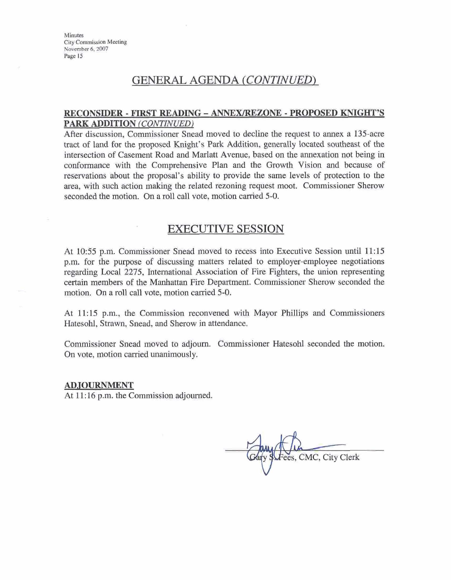# GENERAL **AGENDA** *(CONTTNUET))*

# **RECONSIDER -=T READING** - **ANNZX/EEZO~--4ROPOSED KNIGHT'S**  <u>GENERAL AGENDA (CON $RECONSIDER - FIRST READING - ANNEX/REZO$ PARK ADDITION (CONTINUED)</u>

After discussion, Commissioner Snead moved to decline the request to **annex** a 135-acre traet of land for the proposed Knight's **Park** Addition, generally loeated southeast of the intersection of Casement **Road** and Marlatt Avenue, based on the amexation not being in conformance with the Comprehensive Plan and the Growth Vision and because of reservations about the proposal's ability to provide the same levels of protection to the area, with such action making the related rezoning request moot. Commissioner Sherow seconded the motion. On a roll call vote, motion carried 5-0.

# EXECUTIVE **SESSION**

**At** 10:55 p.m. Commissioner Snead moved to recess into Executive Session until 11:15 p.m. for the purpose of discussing matters related to employer-employee negotiations regarding Local 2275, International Association of Fire Fighters, the union representing certain members of the Manhattan Fire Department. Commissioner Sherow seconded the motion. On a roll call vote, motion carried 5-0.

At 11:15 p.m., the Commission reconvened with Mayor Phillips and Commissioners Hatesohl, Strawn, Snead, **and** Sherow in attendance.

Commissioner Snead moved to adjourn. Commissioner Hatesohl seconded the motion. On vote, motion carried unanimously.

#### **ADJOURNMENT**

At 11: **16** p.m. the Commission **adjaurned.** 

ees, CMC, City Clerk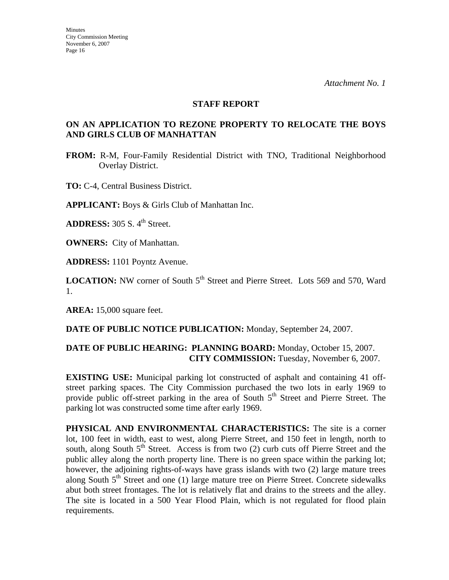#### **STAFF REPORT**

# **ON AN APPLICATION TO REZONE PROPERTY TO RELOCATE THE BOYS AND GIRLS CLUB OF MANHATTAN**

**FROM:** R-M, Four-Family Residential District with TNO, Traditional Neighborhood Overlay District.

**TO:** C-4, Central Business District.

**APPLICANT:** Boys & Girls Club of Manhattan Inc.

**ADDRESS:** 305 S. 4<sup>th</sup> Street.

**OWNERS:** City of Manhattan.

**ADDRESS:** 1101 Poyntz Avenue.

**LOCATION:** NW corner of South 5<sup>th</sup> Street and Pierre Street. Lots 569 and 570, Ward 1.

**AREA:** 15,000 square feet.

**DATE OF PUBLIC NOTICE PUBLICATION:** Monday, September 24, 2007.

## **DATE OF PUBLIC HEARING: PLANNING BOARD:** Monday, October 15, 2007. **CITY COMMISSION:** Tuesday, November 6, 2007.

**EXISTING USE:** Municipal parking lot constructed of asphalt and containing 41 offstreet parking spaces. The City Commission purchased the two lots in early 1969 to provide public off-street parking in the area of South  $5<sup>th</sup>$  Street and Pierre Street. The parking lot was constructed some time after early 1969.

**PHYSICAL AND ENVIRONMENTAL CHARACTERISTICS:** The site is a corner lot, 100 feet in width, east to west, along Pierre Street, and 150 feet in length, north to south, along South  $5<sup>th</sup>$  Street. Access is from two (2) curb cuts off Pierre Street and the public alley along the north property line. There is no green space within the parking lot; however, the adjoining rights-of-ways have grass islands with two (2) large mature trees along South  $5<sup>th</sup>$  Street and one (1) large mature tree on Pierre Street. Concrete sidewalks abut both street frontages. The lot is relatively flat and drains to the streets and the alley. The site is located in a 500 Year Flood Plain, which is not regulated for flood plain requirements.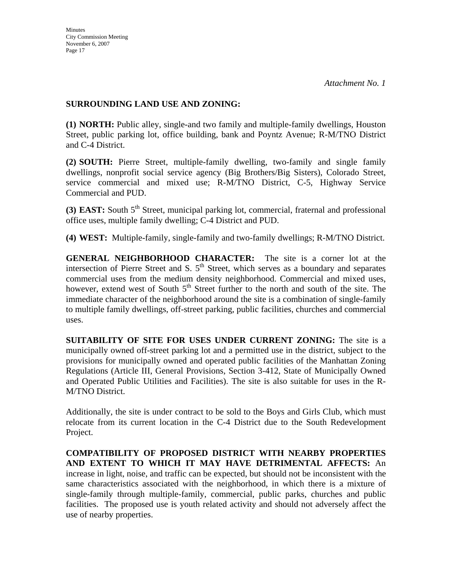## **SURROUNDING LAND USE AND ZONING:**

**(1) NORTH:** Public alley, single-and two family and multiple-family dwellings, Houston Street, public parking lot, office building, bank and Poyntz Avenue; R-M/TNO District and C-4 District.

**(2) SOUTH:** Pierre Street, multiple-family dwelling, two-family and single family dwellings, nonprofit social service agency (Big Brothers/Big Sisters), Colorado Street, service commercial and mixed use; R-M/TNO District, C-5, Highway Service Commercial and PUD.

**(3) EAST:** South 5<sup>th</sup> Street, municipal parking lot, commercial, fraternal and professional office uses, multiple family dwelling; C-4 District and PUD.

**(4) WEST:** Multiple-family, single-family and two-family dwellings; R-M/TNO District.

**GENERAL NEIGHBORHOOD CHARACTER:** The site is a corner lot at the intersection of Pierre Street and S.  $5<sup>th</sup>$  Street, which serves as a boundary and separates commercial uses from the medium density neighborhood. Commercial and mixed uses, however, extend west of South  $5<sup>th</sup>$  Street further to the north and south of the site. The immediate character of the neighborhood around the site is a combination of single-family to multiple family dwellings, off-street parking, public facilities, churches and commercial uses.

**SUITABILITY OF SITE FOR USES UNDER CURRENT ZONING:** The site is a municipally owned off-street parking lot and a permitted use in the district, subject to the provisions for municipally owned and operated public facilities of the Manhattan Zoning Regulations (Article III, General Provisions, Section 3-412, State of Municipally Owned and Operated Public Utilities and Facilities). The site is also suitable for uses in the R-M/TNO District.

Additionally, the site is under contract to be sold to the Boys and Girls Club, which must relocate from its current location in the C-4 District due to the South Redevelopment Project.

**COMPATIBILITY OF PROPOSED DISTRICT WITH NEARBY PROPERTIES AND EXTENT TO WHICH IT MAY HAVE DETRIMENTAL AFFECTS:** An increase in light, noise, and traffic can be expected, but should not be inconsistent with the same characteristics associated with the neighborhood, in which there is a mixture of single-family through multiple-family, commercial, public parks, churches and public facilities. The proposed use is youth related activity and should not adversely affect the use of nearby properties.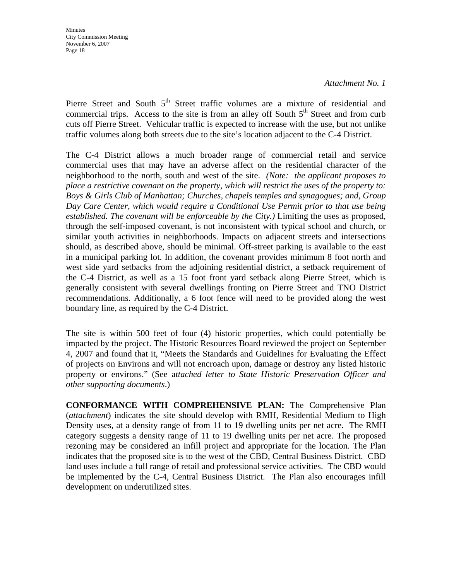*Attachment No. 1* 

Pierre Street and South  $5<sup>th</sup>$  Street traffic volumes are a mixture of residential and commercial trips. Access to the site is from an alley off South  $5<sup>th</sup>$  Street and from curb cuts off Pierre Street. Vehicular traffic is expected to increase with the use, but not unlike traffic volumes along both streets due to the site's location adjacent to the C-4 District.

The C-4 District allows a much broader range of commercial retail and service commercial uses that may have an adverse affect on the residential character of the neighborhood to the north, south and west of the site. *(Note: the applicant proposes to place a restrictive covenant on the property, which will restrict the uses of the property to: Boys & Girls Club of Manhattan; Churches, chapels temples and synagogues; and, Group Day Care Center, which would require a Conditional Use Permit prior to that use being established. The covenant will be enforceable by the City.)* Limiting the uses as proposed, through the self-imposed covenant, is not inconsistent with typical school and church, or similar youth activities in neighborhoods. Impacts on adjacent streets and intersections should, as described above, should be minimal. Off-street parking is available to the east in a municipal parking lot. In addition, the covenant provides minimum 8 foot north and west side yard setbacks from the adjoining residential district, a setback requirement of the C-4 District, as well as a 15 foot front yard setback along Pierre Street, which is generally consistent with several dwellings fronting on Pierre Street and TNO District recommendations. Additionally, a 6 foot fence will need to be provided along the west boundary line, as required by the C-4 District.

The site is within 500 feet of four (4) historic properties, which could potentially be impacted by the project. The Historic Resources Board reviewed the project on September 4, 2007 and found that it, "Meets the Standards and Guidelines for Evaluating the Effect of projects on Environs and will not encroach upon, damage or destroy any listed historic property or environs." (See a*ttached letter to State Historic Preservation Officer and other supporting documents*.)

**CONFORMANCE WITH COMPREHENSIVE PLAN:** The Comprehensive Plan (*attachment*) indicates the site should develop with RMH, Residential Medium to High Density uses, at a density range of from 11 to 19 dwelling units per net acre. The RMH category suggests a density range of 11 to 19 dwelling units per net acre. The proposed rezoning may be considered an infill project and appropriate for the location. The Plan indicates that the proposed site is to the west of the CBD, Central Business District. CBD land uses include a full range of retail and professional service activities. The CBD would be implemented by the C-4, Central Business District. The Plan also encourages infill development on underutilized sites.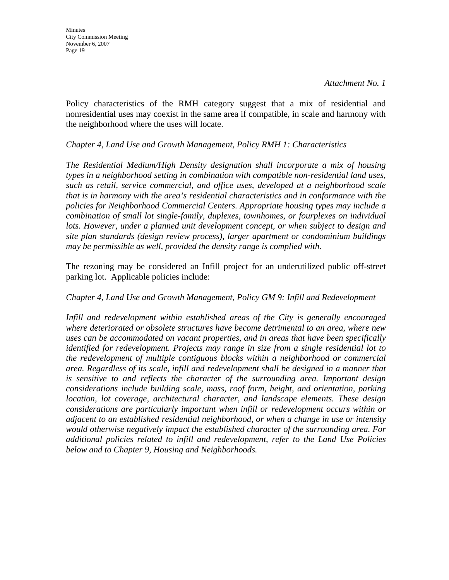Policy characteristics of the RMH category suggest that a mix of residential and nonresidential uses may coexist in the same area if compatible, in scale and harmony with the neighborhood where the uses will locate.

#### *Chapter 4, Land Use and Growth Management, Policy RMH 1: Characteristics*

*The Residential Medium/High Density designation shall incorporate a mix of housing types in a neighborhood setting in combination with compatible non-residential land uses, such as retail, service commercial, and office uses, developed at a neighborhood scale that is in harmony with the area's residential characteristics and in conformance with the policies for Neighborhood Commercial Centers. Appropriate housing types may include a combination of small lot single-family, duplexes, townhomes, or fourplexes on individual*  lots. However, under a planned unit development concept, or when subject to design and *site plan standards (design review process), larger apartment or condominium buildings may be permissible as well, provided the density range is complied with.* 

The rezoning may be considered an Infill project for an underutilized public off-street parking lot. Applicable policies include:

## *Chapter 4, Land Use and Growth Management, Policy GM 9: Infill and Redevelopment*

*Infill and redevelopment within established areas of the City is generally encouraged where deteriorated or obsolete structures have become detrimental to an area, where new uses can be accommodated on vacant properties, and in areas that have been specifically identified for redevelopment. Projects may range in size from a single residential lot to the redevelopment of multiple contiguous blocks within a neighborhood or commercial area. Regardless of its scale, infill and redevelopment shall be designed in a manner that is sensitive to and reflects the character of the surrounding area. Important design considerations include building scale, mass, roof form, height, and orientation, parking location, lot coverage, architectural character, and landscape elements. These design considerations are particularly important when infill or redevelopment occurs within or adjacent to an established residential neighborhood, or when a change in use or intensity would otherwise negatively impact the established character of the surrounding area. For additional policies related to infill and redevelopment, refer to the Land Use Policies below and to Chapter 9, Housing and Neighborhoods.*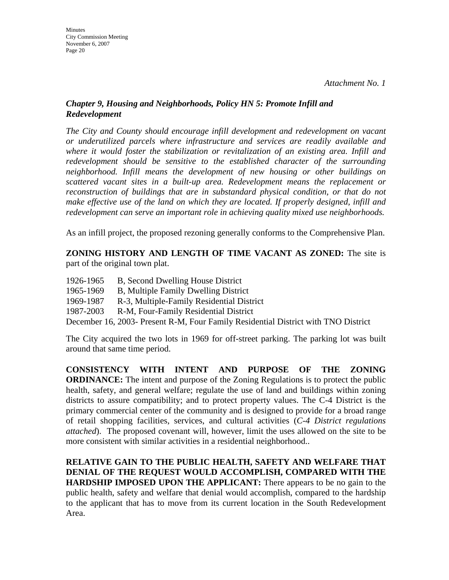# *Chapter 9, Housing and Neighborhoods, Policy HN 5: Promote Infill and Redevelopment*

*The City and County should encourage infill development and redevelopment on vacant or underutilized parcels where infrastructure and services are readily available and where it would foster the stabilization or revitalization of an existing area. Infill and redevelopment should be sensitive to the established character of the surrounding neighborhood. Infill means the development of new housing or other buildings on scattered vacant sites in a built-up area. Redevelopment means the replacement or reconstruction of buildings that are in substandard physical condition, or that do not make effective use of the land on which they are located. If properly designed, infill and redevelopment can serve an important role in achieving quality mixed use neighborhoods.* 

As an infill project, the proposed rezoning generally conforms to the Comprehensive Plan.

**ZONING HISTORY AND LENGTH OF TIME VACANT AS ZONED:** The site is part of the original town plat.

- 1926-1965 B, Second Dwelling House District
- 1965-1969 B, Multiple Family Dwelling District
- 1969-1987 R-3, Multiple-Family Residential District
- 1987-2003 R-M, Four-Family Residential District

December 16, 2003- Present R-M, Four Family Residential District with TNO District

The City acquired the two lots in 1969 for off-street parking. The parking lot was built around that same time period.

**CONSISTENCY WITH INTENT AND PURPOSE OF THE ZONING ORDINANCE:** The intent and purpose of the Zoning Regulations is to protect the public health, safety, and general welfare; regulate the use of land and buildings within zoning districts to assure compatibility; and to protect property values. The C-4 District is the primary commercial center of the community and is designed to provide for a broad range of retail shopping facilities, services, and cultural activities (*C-4 District regulations attached*). The proposed covenant will, however, limit the uses allowed on the site to be more consistent with similar activities in a residential neighborhood..

# **RELATIVE GAIN TO THE PUBLIC HEALTH, SAFETY AND WELFARE THAT DENIAL OF THE REQUEST WOULD ACCOMPLISH, COMPARED WITH THE HARDSHIP IMPOSED UPON THE APPLICANT:** There appears to be no gain to the public health, safety and welfare that denial would accomplish, compared to the hardship to the applicant that has to move from its current location in the South Redevelopment Area.